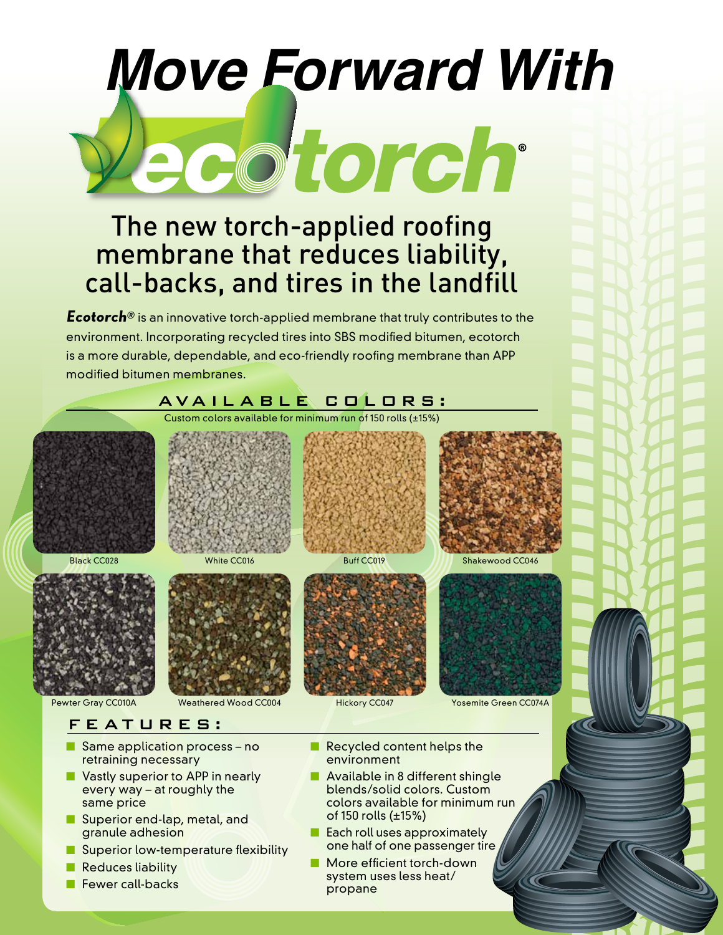# *Move Forward With* ecotorch

## The new torch-applied roofing membrane that reduces liability, call-backs, and tires in the landfill

**Ecotorch®** is an innovative torch-applied membrane that truly contributes to the environment. Incorporating recycled tires into SBS modified bitumen, ecotorch is a more durable, dependable, and eco-friendly roofing membrane than APP modified bitumen membranes.



- Superior end-lap, metal, and granule adhesion
- Superior low-temperature flexibility
- Reduces liability
- Fewer call-backs
- colors available for minimum run of 150 rolls (±15%)
- Each roll uses approximately one half of one passenger tire
- More efficient torch-down system uses less heat/ propane